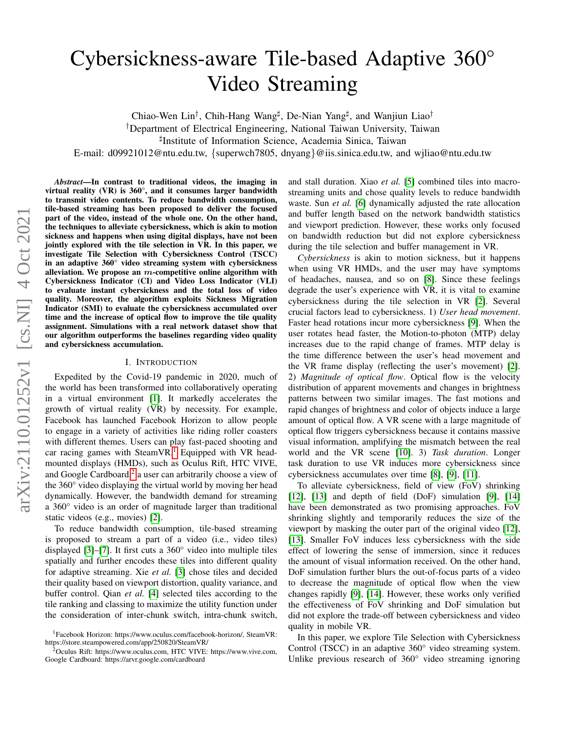# Cybersickness-aware Tile-based Adaptive 360° Video Streaming

Chiao-Wen Lin<sup>†</sup>, Chih-Hang Wang<sup>‡</sup>, De-Nian Yang<sup>‡</sup>, and Wanjiun Liao<sup>†</sup>

†Department of Electrical Engineering, National Taiwan University, Taiwan

] Institute of Information Science, Academia Sinica, Taiwan

E-mail: d09921012@ntu.edu.tw, {superwch7805, dnyang}@iis.sinica.edu.tw, and wjliao@ntu.edu.tw

*Abstract*—In contrast to traditional videos, the imaging in virtual reality (VR) is 360°, and it consumes larger bandwidth to transmit video contents. To reduce bandwidth consumption, tile-based streaming has been proposed to deliver the focused part of the video, instead of the whole one. On the other hand, the techniques to alleviate cybersickness, which is akin to motion sickness and happens when using digital displays, have not been jointly explored with the tile selection in VR. In this paper, we investigate Tile Selection with Cybersickness Control (TSCC) in an adaptive 360° video streaming system with cybersickness alleviation. We propose an  $m$ -competitive online algorithm with Cybersickness Indicator (CI) and Video Loss Indicator (VLI) to evaluate instant cybersickness and the total loss of video quality. Moreover, the algorithm exploits Sickness Migration Indicator (SMI) to evaluate the cybersickness accumulated over time and the increase of optical flow to improve the tile quality assignment. Simulations with a real network dataset show that our algorithm outperforms the baselines regarding video quality and cybersickness accumulation.

#### I. INTRODUCTION

Expedited by the Covid-19 pandemic in 2020, much of the world has been transformed into collaboratively operating in a virtual environment [\[1\]](#page-5-0). It markedly accelerates the growth of virtual reality (VR) by necessity. For example, Facebook has launched Facebook Horizon to allow people to engage in a variety of activities like riding roller coasters with different themes. Users can play fast-paced shooting and car racing games with SteamVR.<sup>[1](#page-0-0)</sup> Equipped with VR headmounted displays (HMDs), such as Oculus Rift, HTC VIVE, and Google Cardboard, $2$  a user can arbitrarily choose a view of the 360° video displaying the virtual world by moving her head dynamically. However, the bandwidth demand for streaming a 360° video is an order of magnitude larger than traditional static videos (e.g., movies) [\[2\]](#page-5-1).

To reduce bandwidth consumption, tile-based streaming is proposed to stream a part of a video (i.e., video tiles) displayed [\[3\]](#page-5-2)–[\[7\]](#page-5-3). It first cuts a 360° video into multiple tiles spatially and further encodes these tiles into different quality for adaptive streaming. Xie *et al.* [\[3\]](#page-5-2) chose tiles and decided their quality based on viewport distortion, quality variance, and buffer control. Qian *et al.* [\[4\]](#page-5-4) selected tiles according to the tile ranking and classing to maximize the utility function under the consideration of inter-chunk switch, intra-chunk switch, and stall duration. Xiao *et al.* [\[5\]](#page-5-5) combined tiles into macrostreaming units and chose quality levels to reduce bandwidth waste. Sun *et al.* [\[6\]](#page-5-6) dynamically adjusted the rate allocation and buffer length based on the network bandwidth statistics and viewport prediction. However, these works only focused on bandwidth reduction but did not explore cybersickness during the tile selection and buffer management in VR.

*Cybersickness* is akin to motion sickness, but it happens when using VR HMDs, and the user may have symptoms of headaches, nausea, and so on [\[8\]](#page-5-7). Since these feelings degrade the user's experience with VR, it is vital to examine cybersickness during the tile selection in VR [\[2\]](#page-5-1). Several crucial factors lead to cybersickness. 1) *User head movement*. Faster head rotations incur more cybersickness [\[9\]](#page-5-8). When the user rotates head faster, the Motion-to-photon (MTP) delay increases due to the rapid change of frames. MTP delay is the time difference between the user's head movement and the VR frame display (reflecting the user's movement) [\[2\]](#page-5-1). 2) *Magnitude of optical flow*. Optical flow is the velocity distribution of apparent movements and changes in brightness patterns between two similar images. The fast motions and rapid changes of brightness and color of objects induce a large amount of optical flow. A VR scene with a large magnitude of optical flow triggers cybersickness because it contains massive visual information, amplifying the mismatch between the real world and the VR scene [\[10\]](#page-5-9). 3) *Task duration*. Longer task duration to use VR induces more cybersickness since cybersickness accumulates over time [\[8\]](#page-5-7), [\[9\]](#page-5-8), [\[11\]](#page-5-10).

To alleviate cybersickness, field of view (FoV) shrinking [\[12\]](#page-5-11),  $[13]$  and depth of field  $(DoF)$  simulation  $[9]$ ,  $[14]$ have been demonstrated as two promising approaches. FoV shrinking slightly and temporarily reduces the size of the viewport by masking the outer part of the original video [\[12\]](#page-5-11), [\[13\]](#page-5-12). Smaller FoV induces less cybersickness with the side effect of lowering the sense of immersion, since it reduces the amount of visual information received. On the other hand, DoF simulation further blurs the out-of-focus parts of a video to decrease the magnitude of optical flow when the view changes rapidly [\[9\]](#page-5-8), [\[14\]](#page-5-13). However, these works only verified the effectiveness of FoV shrinking and DoF simulation but did not explore the trade-off between cybersickness and video quality in mobile VR.

In this paper, we explore Tile Selection with Cybersickness Control (TSCC) in an adaptive 360° video streaming system. Unlike previous research of 360° video streaming ignoring

<span id="page-0-0"></span><sup>1</sup>Facebook Horizon: https://www.oculus.com/facebook-horizon/, SteamVR: https://store.steampowered.com/app/250820/SteamVR/

<span id="page-0-1"></span><sup>2</sup>Oculus Rift: https://www.oculus.com, HTC VIVE: https://www.vive.com, Google Cardboard: https://arvr.google.com/cardboard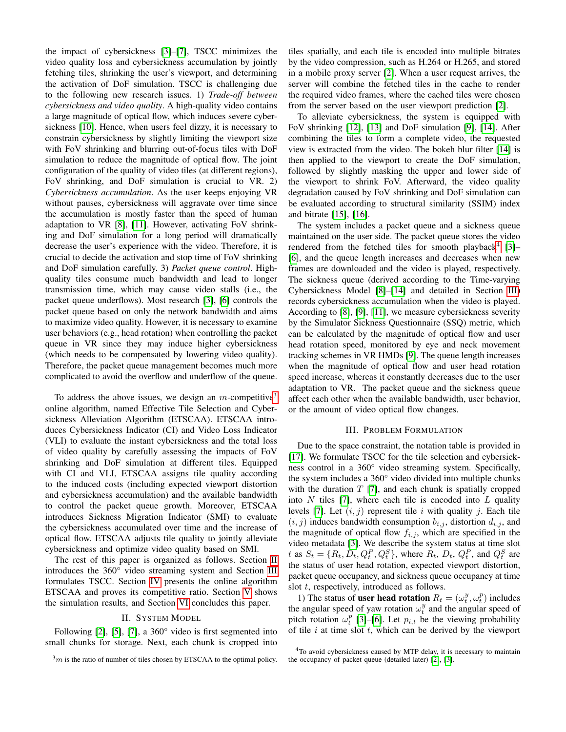the impact of cybersickness [\[3\]](#page-5-2)–[\[7\]](#page-5-3), TSCC minimizes the video quality loss and cybersickness accumulation by jointly fetching tiles, shrinking the user's viewport, and determining the activation of DoF simulation. TSCC is challenging due to the following new research issues. 1) *Trade-off between cybersickness and video quality*. A high-quality video contains a large magnitude of optical flow, which induces severe cybersickness [\[10\]](#page-5-9). Hence, when users feel dizzy, it is necessary to constrain cybersickness by slightly limiting the viewport size with FoV shrinking and blurring out-of-focus tiles with DoF simulation to reduce the magnitude of optical flow. The joint configuration of the quality of video tiles (at different regions), FoV shrinking, and DoF simulation is crucial to VR. 2) *Cybersickness accumulation*. As the user keeps enjoying VR without pauses, cybersickness will aggravate over time since the accumulation is mostly faster than the speed of human adaptation to VR [\[8\]](#page-5-7), [\[11\]](#page-5-10). However, activating FoV shrinking and DoF simulation for a long period will dramatically decrease the user's experience with the video. Therefore, it is crucial to decide the activation and stop time of FoV shrinking and DoF simulation carefully. 3) *Packet queue control*. Highquality tiles consume much bandwidth and lead to longer transmission time, which may cause video stalls (i.e., the packet queue underflows). Most research [\[3\]](#page-5-2), [\[6\]](#page-5-6) controls the packet queue based on only the network bandwidth and aims to maximize video quality. However, it is necessary to examine user behaviors (e.g., head rotation) when controlling the packet queue in VR since they may induce higher cybersickness (which needs to be compensated by lowering video quality). Therefore, the packet queue management becomes much more complicated to avoid the overflow and underflow of the queue.

To address the above issues, we design an  $m$ -competitive<sup>[3](#page-1-0)</sup> online algorithm, named Effective Tile Selection and Cybersickness Alleviation Algorithm (ETSCAA). ETSCAA introduces Cybersickness Indicator (CI) and Video Loss Indicator (VLI) to evaluate the instant cybersickness and the total loss of video quality by carefully assessing the impacts of FoV shrinking and DoF simulation at different tiles. Equipped with CI and VLI, ETSCAA assigns tile quality according to the induced costs (including expected viewport distortion and cybersickness accumulation) and the available bandwidth to control the packet queue growth. Moreover, ETSCAA introduces Sickness Migration Indicator (SMI) to evaluate the cybersickness accumulated over time and the increase of optical flow. ETSCAA adjusts tile quality to jointly alleviate cybersickness and optimize video quality based on SMI.

The rest of this paper is organized as follows. Section [II](#page-1-1) introduces the 360° video streaming system and Section [III](#page-1-2) formulates TSCC. Section [IV](#page-2-0) presents the online algorithm ETSCAA and proves its competitive ratio. Section [V](#page-4-0) shows the simulation results, and Section [VI](#page-5-14) concludes this paper.

#### II. SYSTEM MODEL

<span id="page-1-1"></span>Following [\[2\]](#page-5-1), [\[5\]](#page-5-5), [\[7\]](#page-5-3), a 360° video is first segmented into small chunks for storage. Next, each chunk is cropped into tiles spatially, and each tile is encoded into multiple bitrates by the video compression, such as H.264 or H.265, and stored in a mobile proxy server [\[2\]](#page-5-1). When a user request arrives, the server will combine the fetched tiles in the cache to render the required video frames, where the cached tiles were chosen from the server based on the user viewport prediction [\[2\]](#page-5-1).

To alleviate cybersickness, the system is equipped with FoV shrinking [\[12\]](#page-5-11), [\[13\]](#page-5-12) and DoF simulation [\[9\]](#page-5-8), [\[14\]](#page-5-13). After combining the tiles to form a complete video, the requested view is extracted from the video. The bokeh blur filter [\[14\]](#page-5-13) is then applied to the viewport to create the DoF simulation, followed by slightly masking the upper and lower side of the viewport to shrink FoV. Afterward, the video quality degradation caused by FoV shrinking and DoF simulation can be evaluated according to structural similarity (SSIM) index and bitrate [\[15\]](#page-5-15), [\[16\]](#page-5-16).

The system includes a packet queue and a sickness queue maintained on the user side. The packet queue stores the video rendered from the fetched tiles for smooth playback<sup>[4](#page-1-3)</sup> [\[3\]](#page-5-2)-[\[6\]](#page-5-6), and the queue length increases and decreases when new frames are downloaded and the video is played, respectively. The sickness queue (derived according to the Time-varying Cybersickness Model [\[8\]](#page-5-7)–[\[14\]](#page-5-13) and detailed in Section [III\)](#page-1-2) records cybersickness accumulation when the video is played. According to [\[8\]](#page-5-7), [\[9\]](#page-5-8), [\[11\]](#page-5-10), we measure cybersickness severity by the Simulator Sickness Questionnaire (SSQ) metric, which can be calculated by the magnitude of optical flow and user head rotation speed, monitored by eye and neck movement tracking schemes in VR HMDs [\[9\]](#page-5-8). The queue length increases when the magnitude of optical flow and user head rotation speed increase, whereas it constantly decreases due to the user adaptation to VR. The packet queue and the sickness queue affect each other when the available bandwidth, user behavior, or the amount of video optical flow changes.

# III. PROBLEM FORMULATION

<span id="page-1-2"></span>Due to the space constraint, the notation table is provided in [\[17\]](#page-5-17). We formulate TSCC for the tile selection and cybersickness control in a 360° video streaming system. Specifically, the system includes a 360° video divided into multiple chunks with the duration  $T$  [\[7\]](#page-5-3), and each chunk is spatially cropped into N tiles [\[7\]](#page-5-3), where each tile is encoded into  $L$  quality levels [\[7\]](#page-5-3). Let  $(i, j)$  represent tile i with quality j. Each tile  $(i, j)$  induces bandwidth consumption  $b_{i,j}$ , distortion  $d_{i,j}$ , and the magnitude of optical flow  $f_{i,j}$ , which are specified in the video metadata [\[3\]](#page-5-2). We describe the system status at time slot t as  $S_t = \{R_t, D_t, Q_t^P, Q_t^S\}$ , where  $R_t$ ,  $D_t$ ,  $Q_t^P$ , and  $Q_t^S$  are the status of user head rotation, expected viewport distortion, packet queue occupancy, and sickness queue occupancy at time slot *t*, respectively, introduced as follows.

1) The status of **user head rotation**  $R_t = (\omega_t^y, \omega_t^p)$  includes the angular speed of yaw rotation  $\omega_t^y$  and the angular speed of pitch rotation  $\omega_t^p$  [\[3\]](#page-5-2)–[\[6\]](#page-5-6). Let  $p_{i,t}$  be the viewing probability of tile  $i$  at time slot  $t$ , which can be derived by the viewport

<span id="page-1-0"></span> $3m$  is the ratio of number of tiles chosen by ETSCAA to the optimal policy.

<span id="page-1-3"></span><sup>4</sup>To avoid cybersickness caused by MTP delay, it is necessary to maintain the occupancy of packet queue (detailed later) [\[2\]](#page-5-1), [\[3\]](#page-5-2).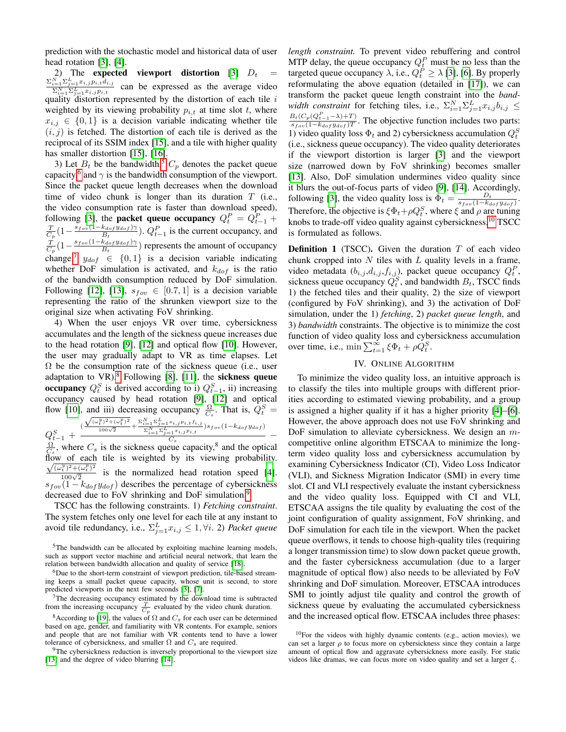prediction with the stochastic model and historical data of user head rotation [\[3\]](#page-5-2), [\[4\]](#page-5-4).

2) The expected viewport distortion [\[3\]](#page-5-2)  $D_t = \sum_{i=1}^{N} \sum_{i=1}^{L} x_{i,j} p_{i,t} d_{i,j}$  $\sum_{i=1}^{N} \sum_{j=1}^{L} x_{i,j} p_{i,t} d_{i,j}$  $\sum_{i=1}^N\sum_{j=1}^L x_{i,j}p_{i,t}$ can be expressed as the average video quality distortion represented by the distortion of each tile  $i$ weighted by its viewing probability  $p_{i,t}$  at time slot t, where  $x_{i,j} \in \{0,1\}$  is a decision variable indicating whether tile  $(i, j)$  is fetched. The distortion of each tile is derived as the reciprocal of its SSIM index [\[15\]](#page-5-15), and a tile with higher quality has smaller distortion [\[15\]](#page-5-15), [\[16\]](#page-5-16).

3) Let  $B_t$  be the bandwidth,<sup>[5](#page-2-1)</sup>  $C_p$  denotes the packet queue capacity,<sup>[6](#page-2-2)</sup> and  $\gamma$  is the bandwidth consumption of the viewport. Since the packet queue length decreases when the download time of video chunk is longer than its duration  $T$  (i.e., the video consumption rate is faster than download speed), following [\[3\]](#page-5-2), the **packet queue occupancy**  $Q_t^P = Q_{t-1}^P + \frac{T}{C_p} \left(1 - \frac{s_{fov}(1 - k_{dof} y_{dof})\gamma}{B_t}\right)$ .  $Q_{t-1}^P$  is the current occupancy, and  $\frac{k_{dof} y_{dof} \gamma}{B_t}$ ).  $Q_{t-1}^P$  is the current occupancy, and  $\frac{\dot{T}}{C_p} \big(1-\frac{s_{fov}(1-k_{dof}y_{dof})\gamma}{B_t}$  $\frac{\kappa_{dof} y_{dof} \gamma \gamma}{B_t}$ ) represents the amount of occupancy change.<sup>[7](#page-2-3)</sup>  $y_{dof} \in \{0, 1\}$  is a decision variable indicating whether DoF simulation is activated, and  $k_{dof}$  is the ratio of the bandwidth consumption reduced by DoF simulation. Following [\[12\]](#page-5-11), [\[13\]](#page-5-12),  $s_{fov} \in [0.7, 1]$  is a decision variable representing the ratio of the shrunken viewport size to the original size when activating FoV shrinking.

4) When the user enjoys VR over time, cybersickness accumulates and the length of the sickness queue increases due to the head rotation [\[9\]](#page-5-8), [\[12\]](#page-5-11) and optical flow [\[10\]](#page-5-9). However, the user may gradually adapt to VR as time elapses. Let  $\Omega$  be the consumption rate of the sickness queue (i.e., user adaptation to  $VR$ ).<sup>[8](#page-2-4)</sup> Following [\[8\]](#page-5-7), [\[11\]](#page-5-10), the **sickness queue** occupancy  $Q_t^S$  is derived according to i)  $Q_{t-1}^S$ , ii) increasing occupancy caused by head rotation [\[9\]](#page-5-8), [\[12\]](#page-5-11) and optical flow [\[10\]](#page-5-9), and iii) decreasing occupancy  $\frac{\Omega}{C_s}$ . That is,  $Q_t^S$  =

 $Q_{t-1}^S$  +  $(\frac{\sqrt{(\omega_{t}^{y})^2+(\omega_{t}^{p})^2}}{100\sqrt{2}}+\frac{\Sigma_{i=1}^{N}\Sigma_{j=1}^{I}x_{i,j}p_{i,t}f_{i,j}}{\Sigma_{i=1}^{N}\Sigma_{j=1}^{L}x_{i,j}p_{i,t}})s_{fov}(1-k_{dof}y_{dof})$  $\frac{e^{-1}}{C_s}$  –  $\frac{\Omega}{C_s}$ , where  $C_s$  is the sickness queue capacity,<sup>8</sup> and the optical flow of each tile is weighted by its viewing probability.  $\frac{(\omega_i^y)^2 + (\omega_i^p)^2}{100\sqrt{2}}$  is the normalized head rotation speed [\[4\]](#page-5-4).  $s_{fov}(1 - k_{dof}y_{dof})$  describes the percentage of cybersickness decreased due to FoV shrinking and DoF simulation.<sup>[9](#page-2-5)</sup>

TSCC has the following constraints. 1) *Fetching constraint*. The system fetches only one level for each tile at any instant to avoid tile redundancy, i.e.,  $\Sigma_{j=1}^L x_{i,j} \leq 1, \forall i$ . 2) *Packet queue* 

<span id="page-2-2"></span> ${}^{6}$ Due to the short-term constraint of viewport prediction, tile-based streaming keeps a small packet queue capacity, whose unit is second, to store predicted viewports in the next few seconds [\[3\]](#page-5-2), [\[7\]](#page-5-3).

<span id="page-2-5"></span><sup>9</sup>The cybersickness reduction is inversely proportional to the viewport size [\[13\]](#page-5-12) and the degree of video blurring [\[14\]](#page-5-13).

*length constraint.* To prevent video rebuffering and control MTP delay, the queue occupancy  $Q_t^P$  must be no less than the targeted queue occupancy  $\lambda$ , i.e.,  $Q_t^P \ge \lambda$  [\[3\]](#page-5-2), [\[6\]](#page-5-6). By properly reformulating the above equation (detailed in [\[17\]](#page-5-17)), we can transform the packet queue length constraint into the *band*width constraint for fetching tiles, i.e.,  $\Sigma_{i=1}^N \Sigma_{j=1}^L x_{i,j} b_{i,j} \leq$  $B_t(C_p(Q_{t-1}^P - \lambda) + T)$  $\frac{B_t(\mathcal{O}_p(\mathcal{Q}_{t-1}-\mathcal{A})+T)}{s_{fov}(1-k_{dof}y_{dof})T}$ . The objective function includes two parts: 1) video quality loss  $\Phi_t$  and 2) cybersickness accumulation  $Q_t^S$ (i.e., sickness queue occupancy). The video quality deteriorates if the viewport distortion is larger [\[3\]](#page-5-2) and the viewport size (narrowed down by FoV shrinking) becomes smaller [\[13\]](#page-5-12). Also, DoF simulation undermines video quality since it blurs the out-of-focus parts of video [\[9\]](#page-5-8), [\[14\]](#page-5-13). Accordingly, following [\[3\]](#page-5-2), the video quality loss is  $\Phi_t = \frac{D_t}{s_{fov}(1-k_{dof}y_{dof})}$ . Therefore, the objective is  $\xi \Phi_t + \rho Q_t^S$ , where  $\xi$  and  $\rho$  are tuning knobs to trade-off video quality against cybersickness.<sup>[10](#page-2-6)</sup> TSCC is formulated as follows.

**Definition 1** (TSCC). Given the duration  $T$  of each video chunk cropped into  $N$  tiles with  $L$  quality levels in a frame, video metadata  $(b_{i,j}, d_{i,j}, f_{i,j})$ , packet queue occupancy  $Q_t^P$ , sickness queue occupancy  $Q_t^S$ , and bandwidth  $B_t$ , TSCC finds 1) the fetched tiles and their quality, 2) the size of viewport (configured by FoV shrinking), and 3) the activation of DoF simulation, under the 1) *fetching*, 2) *packet queue length*, and 3) *bandwidth* constraints. The objective is to minimize the cost function of video quality loss and cybersickness accumulation over time, i.e.,  $\min \sum_{t=1}^{\infty} \xi \Phi_t + \rho \dot{Q}_t^S$ .

### IV. ONLINE ALGORITHM

<span id="page-2-0"></span>To minimize the video quality loss, an intuitive approach is to classify the tiles into multiple groups with different priorities according to estimated viewing probability, and a group is assigned a higher quality if it has a higher priority [\[4\]](#page-5-4)–[\[6\]](#page-5-6). However, the above approach does not use FoV shrinking and DoF simulation to alleviate cybersickness. We design an  $m$ competitive online algorithm ETSCAA to minimize the longterm video quality loss and cybersickness accumulation by examining Cybersickness Indicator (CI), Video Loss Indicator (VLI), and Sickness Migration Indicator (SMI) in every time slot. CI and VLI respectively evaluate the instant cybersickness and the video quality loss. Equipped with CI and VLI, ETSCAA assigns the tile quality by evaluating the cost of the joint configuration of quality assignment, FoV shrinking, and DoF simulation for each tile in the viewport. When the packet queue overflows, it tends to choose high-quality tiles (requiring a longer transmission time) to slow down packet queue growth, and the faster cybersickness accumulation (due to a larger magnitude of optical flow) also needs to be alleviated by FoV shrinking and DoF simulation. Moreover, ETSCAA introduces SMI to jointly adjust tile quality and control the growth of sickness queue by evaluating the accumulated cybersickness and the increased optical flow. ETSCAA includes three phases:

<span id="page-2-1"></span><sup>&</sup>lt;sup>5</sup>The bandwidth can be allocated by exploiting machine learning models, such as support vector machine and artificial neural network, that learn the relation between bandwidth allocation and quality of service [\[18\]](#page-5-18).

<span id="page-2-3"></span> $7$ The decreasing occupancy estimated by the download time is subtracted from the increasing occupancy  $\frac{T}{C_p}$  evaluated by the video chunk duration.

<span id="page-2-4"></span><sup>&</sup>lt;sup>8</sup>According to [\[19\]](#page-6-0), the values of  $\Omega$  and  $C_s$  for each user can be determined based on age, gender, and familiarity with VR contents. For example, seniors and people that are not familiar with VR contents tend to have a lower tolerance of cybersickness, and smaller  $\Omega$  and  $C_s$  are required.

<span id="page-2-6"></span><sup>10</sup>For the videos with highly dynamic contents (e.g., action movies), we can set a larger  $\rho$  to focus more on cybersickness since they contain a large amount of optical flow and aggravate cybersickness more easily. For static videos like dramas, we can focus more on video quality and set a larger  $\xi$ .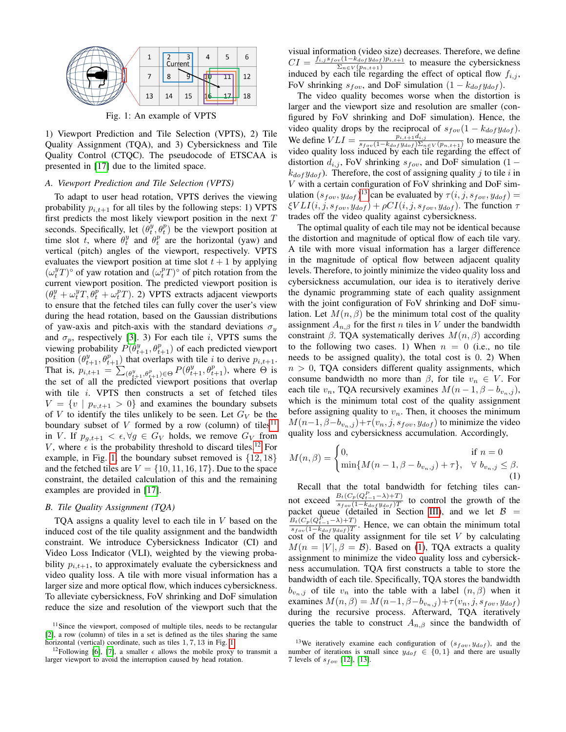<span id="page-3-2"></span>

Fig. 1: An example of VPTS

1) Viewport Prediction and Tile Selection (VPTS), 2) Tile Quality Assignment (TQA), and 3) Cybersickness and Tile Quality Control (CTQC). The pseudocode of ETSCAA is presented in [\[17\]](#page-5-17) due to the limited space.

# *A. Viewport Prediction and Tile Selection (VPTS)*

To adapt to user head rotation, VPTS derives the viewing probability  $p_{i,t+1}$  for all tiles by the following steps: 1) VPTS first predicts the most likely viewport position in the next  $T$ seconds. Specifically, let  $(\theta_t^y, \theta_t^p)$  be the viewport position at time slot t, where  $\theta_t^y$  and  $\theta_t^p$  are the horizontal (yaw) and vertical (pitch) angles of the viewport, respectively. VPTS evaluates the viewport position at time slot  $t + 1$  by applying  $(\omega_t^y T)$ ° of yaw rotation and  $(\omega_t^p T)$ ° of pitch rotation from the current viewport position. The predicted viewport position is  $(\theta_t^y + \omega_t^y T, \dot{\theta}_t^p + \omega_t^p T)$ . 2) VPTS extracts adjacent viewports to ensure that the fetched tiles can fully cover the user's view during the head rotation, based on the Gaussian distributions of yaw-axis and pitch-axis with the standard deviations  $\sigma_y$ and  $\sigma_p$ , respectively [\[3\]](#page-5-2). 3) For each tile *i*, VPTS sums the viewing probability  $P(\theta_{t+1}^y, \theta_{t+1}^p)$  of each predicted viewport position  $(\theta_{t+1}^y, \theta_{t+1}^p)$  that overlaps with tile i to derive  $p_{i,t+1}$ . That is,  $p_{i,t+1} = \sum_{(\theta_{t+1}^y, \theta_{t+1}^p) \in \Theta} P(\theta_{t+1}^y, \theta_{t+1}^p)$ , where  $\Theta$  is the set of all the predicted viewport positions that overlap with tile i. VPTS then constructs a set of fetched tiles  $V = \{v \mid p_{v,t+1} > 0\}$  and examines the boundary subsets of V to identify the tiles unlikely to be seen. Let  $G_V$  be the boundary subset of  $V$  formed by a row (column) of tiles<sup>[11](#page-3-0)</sup> in V. If  $p_{q,t+1} < \epsilon, \forall g \in G_V$  holds, we remove  $G_V$  from V, where  $\epsilon$  is the probability threshold to discard tiles.<sup>[12](#page-3-1)</sup> For example, in Fig. [1,](#page-3-2) the boundary subset removed is  $\{12, 18\}$ and the fetched tiles are  $V = \{10, 11, 16, 17\}$ . Due to the space constraint, the detailed calculation of this and the remaining examples are provided in [\[17\]](#page-5-17).

## *B. Tile Quality Assignment (TQA)*

TQA assigns a quality level to each tile in V based on the induced cost of the tile quality assignment and the bandwidth constraint. We introduce Cybersickness Indicator (CI) and Video Loss Indicator (VLI), weighted by the viewing probability  $p_{i,t+1}$ , to approximately evaluate the cybersickness and video quality loss. A tile with more visual information has a larger size and more optical flow, which induces cybersickness. To alleviate cybersickness, FoV shrinking and DoF simulation reduce the size and resolution of the viewport such that the

visual information (video size) decreases. Therefore, we define  $CI = \frac{f_{i,j} s_{fov} (1 - k_{dof} y_{dof}) p_{i,t+1}}{\sum_{i} f_{i} (p_{i,t+1})}$  $\frac{v(1 - \kappa_{dof} y_{dof}) p_{i,t+1}}{\Sigma_{n \in V}(p_{n,t+1})}$  to measure the cybersickness induced by each tile regarding the effect of optical flow  $f_{i,j}$ , FoV shrinking  $s_{fov}$ , and DoF simulation  $(1 - k_{dof} y_{dof})$ .

The video quality becomes worse when the distortion is larger and the viewport size and resolution are smaller (configured by FoV shrinking and DoF simulation). Hence, the video quality drops by the reciprocal of  $s_{fov}(1 - k_{dot}y_{dot})$ . We define  $VLI = \frac{p_{i,t+1}d_{i,j}}{s_{i} \left(1 - k_{i} + y_{i,t+1}\right) \sum_{i=1}^{n} p_{i,t+1}d_{i,j}}$  $\frac{p_{i,t+1}a_{i,j}}{s_{fov}(1-k_{dof}y_{dof})\sum_{n\in V}(p_{n,t+1})}$  to measure the video quality loss induced by each tile regarding the effect of distortion  $d_{i,j}$ , FoV shrinking  $s_{fov}$ , and DoF simulation (1 –  $k_{dof} y_{dof}$ ). Therefore, the cost of assigning quality j to tile i in V with a certain configuration of FoV shrinking and DoF simulation  $(s_{fov}, y_{dof})^{13}$  $(s_{fov}, y_{dof})^{13}$  $(s_{fov}, y_{dof})^{13}$  can be evaluated by  $\tau(i, j, s_{fov}, y_{dof}) =$  $\xi VLI(i, j, s_{fov}, y_{dof}) + \rho CI(i, j, s_{fov}, y_{dof})$ . The function  $\tau$ trades off the video quality against cybersickness.

The optimal quality of each tile may not be identical because the distortion and magnitude of optical flow of each tile vary. A tile with more visual information has a larger difference in the magnitude of optical flow between adjacent quality levels. Therefore, to jointly minimize the video quality loss and cybersickness accumulation, our idea is to iteratively derive the dynamic programming state of each quality assignment with the joint configuration of FoV shrinking and DoF simulation. Let  $M(n, \beta)$  be the minimum total cost of the quality assignment  $A_{n,\beta}$  for the first n tiles in V under the bandwidth constraint  $\beta$ . TQA systematically derives  $M(n, \beta)$  according to the following two cases. 1) When  $n = 0$  (i.e., no tile needs to be assigned quality), the total cost is 0. 2) When  $n > 0$ , TQA considers different quality assignments, which consume bandwidth no more than  $\beta$ , for tile  $v_n \in V$ . For each tile  $v_n$ , TQA recursively examines  $M(n-1, \beta - b_{v_n,j}),$ which is the minimum total cost of the quality assignment before assigning quality to  $v_n$ . Then, it chooses the minimum  $M(n-1, \beta-b_{v_n,j})+\tau(v_n, j, s_{fov}, y_{dof})$  to minimize the video quality loss and cybersickness accumulation. Accordingly,

<span id="page-3-4"></span>
$$
M(n, \beta) = \begin{cases} 0, & \text{if } n = 0\\ \min\{M(n-1, \beta - b_{v_n, j}) + \tau\}, & \forall \ b_{v_n, j} \leq \beta. \end{cases}
$$
(1)

Recall that the total bandwidth for fetching tiles cannot exceed  $\frac{B_t(C_p(Q_{t-1}^P - \lambda) + T)}{s_f(C_t - \lambda) + T}$  $\frac{B_t(\mathcal{O}_p(\mathcal{Q}_{t-1}-\mathcal{A})+T)}{s_{fov}(1-k_{dof}y_{dof})T}$  to control the growth of the packet queue (detailed in Section [III\)](#page-1-2), and we let  $\beta$  =  $B_t(C_p(Q_{t-1}^P - \lambda) + T)$  $\frac{B_t(\mathcal{O}_p(\mathcal{Q}_{t-1}-\mathcal{A})+T)}{s_{fov}(1-k_{dof}y_{dof})T}$ . Hence, we can obtain the minimum total cost of the quality assignment for tile set  $V$  by calculating  $M(n = |V|, \beta = \mathcal{B})$ . Based on [\(1\)](#page-3-4), TQA extracts a quality assignment to minimize the video quality loss and cybersickness accumulation. TQA first constructs a table to store the bandwidth of each tile. Specifically, TQA stores the bandwidth  $b_{v_n,j}$  of tile  $v_n$  into the table with a label  $(n, \beta)$  when it examines  $M(n, \beta) = M(n-1, \beta - b_{v_n, j}) + \tau(v_n, j, s_{fov}, y_{dof})$ during the recursive process. Afterward, TQA iteratively queries the table to construct  $A_{n,\beta}$  since the bandwidth of

<span id="page-3-0"></span><sup>&</sup>lt;sup>11</sup>Since the viewport, composed of multiple tiles, needs to be rectangular [\[2\]](#page-5-1), a row (column) of tiles in a set is defined as the tiles sharing the same horizontal (vertical) coordinate, such as tiles 1, 7, 13 in Fig. [1.](#page-3-2)

<span id="page-3-1"></span><sup>&</sup>lt;sup>12</sup>Following [\[6\]](#page-5-6), [\[7\]](#page-5-3), a smaller  $\epsilon$  allows the mobile proxy to transmit a larger viewport to avoid the interruption caused by head rotation.

<span id="page-3-3"></span><sup>&</sup>lt;sup>13</sup>We iteratively examine each configuration of  $(s_{fov}, y_{dof})$ , and the number of iterations is small since  $y_{dof} \in \{0, 1\}$  and there are usually 7 levels of  $s_{fov}$  [\[12\]](#page-5-11), [\[13\]](#page-5-12).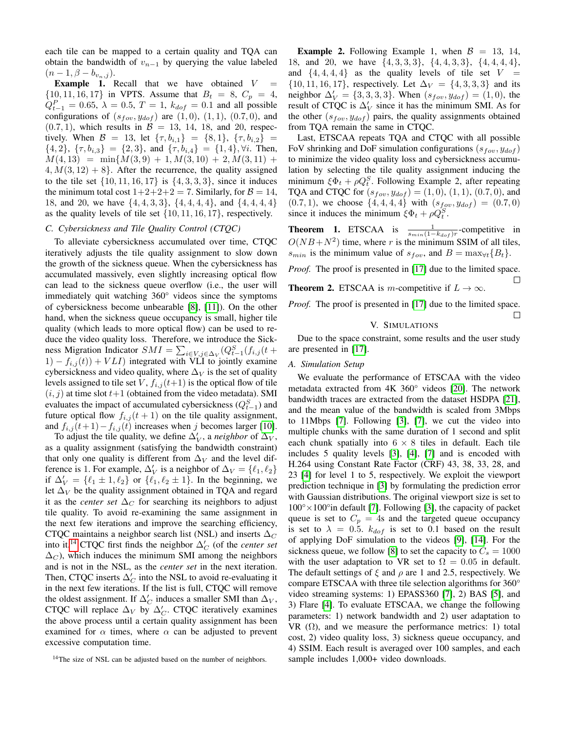each tile can be mapped to a certain quality and TQA can obtain the bandwidth of  $v_{n-1}$  by querying the value labeled  $(n-1, \beta - b_{v_n,j}).$ 

**Example 1.** Recall that we have obtained  $V =$  $\{10, 11, 16, 17\}$  in VPTS. Assume that  $B_t = 8$ ,  $C_p = 4$ ,  $Q_{t-1}^P = 0.65$ ,  $\lambda = 0.5$ ,  $T = 1$ ,  $k_{dof} = 0.1$  and all possible configurations of  $(s_{fov}, y_{dof})$  are  $(1, 0), (1, 1), (0.7, 0),$  and  $(0.7, 1)$ , which results in  $\mathcal{B} = 13, 14, 18,$  and 20, respectively. When  $\mathcal{B} = 13$ , let  $\{\tau, b_{i,1}\} = \{8, 1\}, \{\tau, b_{i,2}\} =$  $\{4,2\}, \{\tau, b_{i,3}\} = \{2,3\}, \text{ and } \{\tau, b_{i,4}\} = \{1,4\}, \forall i. \text{ Then,}$  $M(4, 13) = \min\{M(3, 9) + 1, M(3, 10) + 2, M(3, 11) +$  $4, M(3, 12) + 8$ . After the recurrence, the quality assigned to the tile set  $\{10, 11, 16, 17\}$  is  $\{4, 3, 3, 3\}$ , since it induces the minimum total cost  $1+2+2+2=7$ . Similarly, for  $\mathcal{B}=14$ , 18, and 20, we have {4, 4, 3, 3}, {4, 4, 4, 4}, and {4, 4, 4, 4} as the quality levels of tile set  $\{10, 11, 16, 17\}$ , respectively.

# *C. Cybersickness and Tile Quality Control (CTQC)*

To alleviate cybersickness accumulated over time, CTQC iteratively adjusts the tile quality assignment to slow down the growth of the sickness queue. When the cybersickness has accumulated massively, even slightly increasing optical flow can lead to the sickness queue overflow (i.e., the user will immediately quit watching 360° videos since the symptoms of cybersickness become unbearable [\[8\]](#page-5-7), [\[11\]](#page-5-10)). On the other hand, when the sickness queue occupancy is small, higher tile quality (which leads to more optical flow) can be used to reduce the video quality loss. Therefore, we introduce the Sickness Migration Indicator  $SMI = \sum_{i \in V, j \in \Delta_V} (Q_{t-1}^S(f_{i,j}(t +$  $1) - f_{i,j}(t) + VLI$  integrated with VLI to jointly examine cybersickness and video quality, where  $\Delta_V$  is the set of quality levels assigned to tile set V,  $f_{i,j}(t+1)$  is the optical flow of tile  $(i, j)$  at time slot  $t+1$  (obtained from the video metadata). SMI evaluates the impact of accumulated cybersickness  $(Q_{t-1}^S)$  and future optical flow  $f_{i,j}(t+1)$  on the tile quality assignment, and  $f_{i,j}(t+1)-f_{i,j}(t)$  increases when j becomes larger [\[10\]](#page-5-9).

To adjust the tile quality, we define  $\Delta'_{V}$ , a *neighbor* of  $\Delta_{V}$ , as a quality assignment (satisfying the bandwidth constraint) that only one quality is different from  $\Delta_V$  and the level difference is 1. For example,  $\Delta'_V$  is a neighbor of  $\Delta_V = \{\ell_1, \ell_2\}$ if  $\Delta'_V = {\ell_1 \pm 1, \ell_2}$  or  ${\ell_1, \ell_2 \pm 1}$ . In the beginning, we let  $\Delta_V$  be the quality assignment obtained in TQA and regard it as the *center set*  $\Delta_C$  for searching its neighbors to adjust tile quality. To avoid re-examining the same assignment in the next few iterations and improve the searching efficiency, CTQC maintains a neighbor search list (NSL) and inserts  $\Delta_C$ into it.<sup>[14](#page-4-1)</sup> CTQC first finds the neighbor  $\Delta'_{C}$  (of the *center set*  $\Delta_C$ ), which induces the minimum SMI among the neighbors and is not in the NSL, as the *center set* in the next iteration. Then, CTQC inserts  $\Delta_C'$  into the NSL to avoid re-evaluating it in the next few iterations. If the list is full, CTQC will remove the oldest assignment. If  $\Delta'_C$  induces a smaller SMI than  $\Delta_V$ , CTQC will replace  $\Delta_V$  by  $\Delta_C'$ . CTQC iteratively examines the above process until a certain quality assignment has been examined for  $\alpha$  times, where  $\alpha$  can be adjusted to prevent excessive computation time.

**Example 2.** Following Example 1, when  $\mathcal{B} = 13, 14,$ 18, and 20, we have {4, 3, 3, 3}, {4, 4, 3, 3}, {4, 4, 4, 4}, and  $\{4, 4, 4, 4\}$  as the quality levels of tile set  $V =$  $\{10, 11, 16, 17\}$ , respectively. Let  $\Delta_V = \{4, 3, 3, 3\}$  and its neighbor  $\Delta'_{V} = \{3, 3, 3, 3\}$ . When  $(s_{fov}, y_{dof}) = (1, 0)$ , the result of CTQC is  $\Delta'_V$  since it has the minimum SMI. As for the other  $(s_{fov}, y_{dof})$  pairs, the quality assignments obtained from TQA remain the same in CTQC.

Last, ETSCAA repeats TQA and CTQC with all possible FoV shrinking and DoF simulation configurations  $(s_{fov}, y_{dof})$ to minimize the video quality loss and cybersickness accumulation by selecting the tile quality assignment inducing the minimum  $\xi \Phi_t + \rho Q_t^S$ . Following Example 2, after repeating TQA and CTQC for  $(s_{fov}, y_{dof}) = (1, 0), (1, 1), (0.7, 0)$ , and  $(0.7, 1)$ , we choose  $\{4, 4, 4, 4\}$  with  $(s_{fov}, y_{dof}) = (0.7, 0)$ since it induces the minimum  $\xi \Phi_t + \rho Q_t^S$ .

**Theorem 1.** ETSCAA is  $\frac{1}{s_{min}(1-k_{dof})r}$ -competitive in  $O(NB+N^2)$  time, where r is the minimum SSIM of all tiles,  $s_{min}$  is the minimum value of  $s_{fov}$ , and  $B = \max_{\forall t} {B_t}.$ 

*Proof.* The proof is presented in [\[17\]](#page-5-17) due to the limited space.  $\Box$ **Theorem 2.** ETSCAA is m-competitive if  $L \to \infty$ .

<span id="page-4-0"></span>*Proof.* The proof is presented in [\[17\]](#page-5-17) due to the limited space.  $\Box$ 

# V. SIMULATIONS

Due to the space constraint, some results and the user study are presented in [\[17\]](#page-5-17).

# *A. Simulation Setup*

We evaluate the performance of ETSCAA with the video metadata extracted from 4K 360° videos [\[20\]](#page-6-1). The network bandwidth traces are extracted from the dataset HSDPA [\[21\]](#page-6-2), and the mean value of the bandwidth is scaled from 3Mbps to 11Mbps [\[7\]](#page-5-3). Following [\[3\]](#page-5-2), [\[7\]](#page-5-3), we cut the video into multiple chunks with the same duration of 1 second and split each chunk spatially into  $6 \times 8$  tiles in default. Each tile includes 5 quality levels [\[3\]](#page-5-2), [\[4\]](#page-5-4), [\[7\]](#page-5-3) and is encoded with H.264 using Constant Rate Factor (CRF) 43, 38, 33, 28, and 23 [\[4\]](#page-5-4) for level 1 to 5, respectively. We exploit the viewport prediction technique in [\[3\]](#page-5-2) by formulating the prediction error with Gaussian distributions. The original viewport size is set to  $100^{\circ} \times 100^{\circ}$  in default [\[7\]](#page-5-3). Following [\[3\]](#page-5-2), the capacity of packet queue is set to  $C_p = 4s$  and the targeted queue occupancy is set to  $\lambda = 0.5$ .  $k_{dof}$  is set to 0.1 based on the result of applying DoF simulation to the videos [\[9\]](#page-5-8), [\[14\]](#page-5-13). For the sickness queue, we follow [\[8\]](#page-5-7) to set the capacity to  $C_s = 1000$ with the user adaptation to VR set to  $\Omega = 0.05$  in default. The default settings of  $\xi$  and  $\rho$  are 1 and 2.5, respectively. We compare ETSCAA with three tile selection algorithms for 360° video streaming systems: 1) EPASS360 [\[7\]](#page-5-3), 2) BAS [\[5\]](#page-5-5), and 3) Flare [\[4\]](#page-5-4). To evaluate ETSCAA, we change the following parameters: 1) network bandwidth and 2) user adaptation to VR  $(\Omega)$ , and we measure the performance metrics: 1) total cost, 2) video quality loss, 3) sickness queue occupancy, and 4) SSIM. Each result is averaged over 100 samples, and each sample includes  $1,000+$  video downloads.

<span id="page-4-1"></span><sup>&</sup>lt;sup>14</sup>The size of NSL can be adjusted based on the number of neighbors.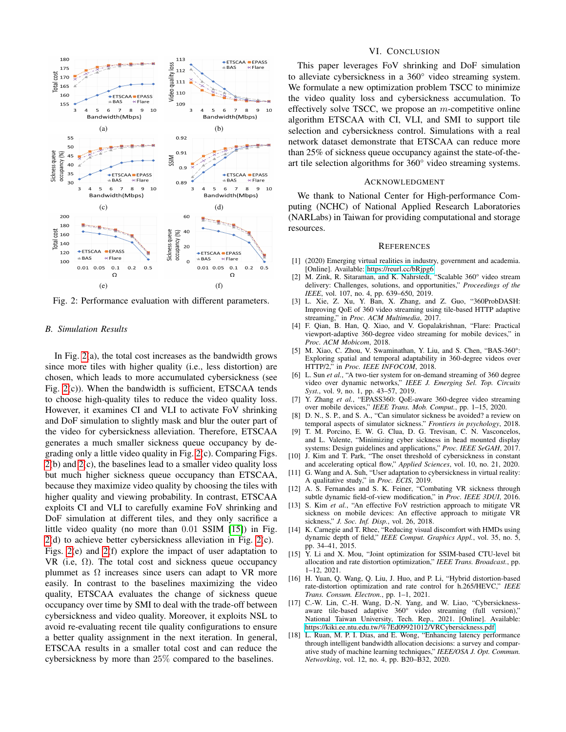<span id="page-5-19"></span>

Fig. 2: Performance evaluation with different parameters.

# *B. Simulation Results*

In Fig.  $2(a)$ , the total cost increases as the bandwidth grows since more tiles with higher quality (i.e., less distortion) are chosen, which leads to more accumulated cybersickness (see Fig. [2\(](#page-5-19)c)). When the bandwidth is sufficient, ETSCAA tends to choose high-quality tiles to reduce the video quality loss. However, it examines CI and VLI to activate FoV shrinking and DoF simulation to slightly mask and blur the outer part of the video for cybersickness alleviation. Therefore, ETSCAA generates a much smaller sickness queue occupancy by degrading only a little video quality in Fig. [2\(](#page-5-19)c). Comparing Figs. [2\(](#page-5-19)b) and [2\(](#page-5-19)c), the baselines lead to a smaller video quality loss but much higher sickness queue occupancy than ETSCAA, because they maximize video quality by choosing the tiles with higher quality and viewing probability. In contrast, ETSCAA exploits CI and VLI to carefully examine FoV shrinking and DoF simulation at different tiles, and they only sacrifice a little video quality (no more than 0.01 SSIM [\[15\]](#page-5-15)) in Fig. [2\(](#page-5-19)d) to achieve better cybersickness alleviation in Fig. [2\(](#page-5-19)c). Figs. [2\(](#page-5-19)e) and [2\(](#page-5-19)f) explore the impact of user adaptation to VR (i.e,  $\Omega$ ). The total cost and sickness queue occupancy plummet as  $\Omega$  increases since users can adapt to VR more easily. In contrast to the baselines maximizing the video quality, ETSCAA evaluates the change of sickness queue occupancy over time by SMI to deal with the trade-off between cybersickness and video quality. Moreover, it exploits NSL to avoid re-evaluating recent tile quality configurations to ensure a better quality assignment in the next iteration. In general, ETSCAA results in a smaller total cost and can reduce the cybersickness by more than 25% compared to the baselines.

# VI. CONCLUSION

<span id="page-5-14"></span>This paper leverages FoV shrinking and DoF simulation to alleviate cybersickness in a 360° video streaming system. We formulate a new optimization problem TSCC to minimize the video quality loss and cybersickness accumulation. To effectively solve TSCC, we propose an  $m$ -competitive online algorithm ETSCAA with CI, VLI, and SMI to support tile selection and cybersickness control. Simulations with a real network dataset demonstrate that ETSCAA can reduce more than 25% of sickness queue occupancy against the state-of-theart tile selection algorithms for 360° video streaming systems.

## ACKNOWLEDGMENT

We thank to National Center for High-performance Computing (NCHC) of National Applied Research Laboratories (NARLabs) in Taiwan for providing computational and storage resources.

#### **REFERENCES**

- <span id="page-5-0"></span>[1] (2020) Emerging virtual realities in industry, government and academia. [Online]. Available:<https://reurl.cc/bRjpg6>
- <span id="page-5-1"></span>[2] M. Zink, R. Sitaraman, and K. Nahrstedt, "Scalable 360° video stream delivery: Challenges, solutions, and opportunities," *Proceedings of the IEEE*, vol. 107, no. 4, pp. 639–650, 2019.
- <span id="page-5-2"></span>[3] L. Xie, Z. Xu, Y. Ban, X. Zhang, and Z. Guo, "360ProbDASH: Improving QoE of 360 video streaming using tile-based HTTP adaptive streaming," in *Proc. ACM Multimedia*, 2017.
- <span id="page-5-4"></span>[4] F. Qian, B. Han, Q. Xiao, and V. Gopalakrishnan, "Flare: Practical viewport-adaptive 360-degree video streaming for mobile devices," in *Proc. ACM Mobicom*, 2018.
- <span id="page-5-5"></span>[5] M. Xiao, C. Zhou, V. Swaminathan, Y. Liu, and S. Chen, "BAS-360°: Exploring spatial and temporal adaptability in 360-degree videos over HTTP/2," in *Proc. IEEE INFOCOM*, 2018.
- <span id="page-5-6"></span>[6] L. Sun *et al.*, "A two-tier system for on-demand streaming of 360 degree video over dynamic networks," *IEEE J. Emerging Sel. Top. Circuits Syst.*, vol. 9, no. 1, pp. 43–57, 2019.
- <span id="page-5-3"></span>[7] Y. Zhang *et al.*, "EPASS360: QoE-aware 360-degree video streaming over mobile devices," *IEEE Trans. Mob. Comput.*, pp. 1–15, 2020.
- <span id="page-5-7"></span>[8] D. N., S. P., and S. A., "Can simulator sickness be avoided? a review on temporal aspects of simulator sickness." *Frontiers in psychology*, 2018.
- <span id="page-5-8"></span>[9] T. M. Porcino, E. W. G. Clua, D. G. Trevisan, C. N. Vasconcelos, and L. Valente, "Minimizing cyber sickness in head mounted display systems: Design guidelines and applications," *Proc. IEEE SeGAH*, 2017.
- <span id="page-5-9"></span>[10] J. Kim and T. Park, "The onset threshold of cybersickness in constant and accelerating optical flow," *Applied Sciences*, vol. 10, no. 21, 2020.
- <span id="page-5-10"></span>[11] G. Wang and A. Suh, "User adaptation to cybersickness in virtual reality: A qualitative study," in *Proc. ECIS*, 2019.
- <span id="page-5-11"></span>[12] A. S. Fernandes and S. K. Feiner, "Combating VR sickness through subtle dynamic field-of-view modification," in *Proc. IEEE 3DUI*, 2016.
- <span id="page-5-12"></span>[13] S. Kim *et al.*, "An effective FoV restriction approach to mitigate VR sickness on mobile devices: An effective approach to mitigate VR sickness," *J. Soc. Inf. Disp.*, vol. 26, 2018.
- <span id="page-5-13"></span>[14] K. Carnegie and T. Rhee, "Reducing visual discomfort with HMDs using dynamic depth of field," *IEEE Comput. Graphics Appl.*, vol. 35, no. 5, pp. 34–41, 2015.
- <span id="page-5-15"></span>[15] Y. Li and X. Mou, "Joint optimization for SSIM-based CTU-level bit allocation and rate distortion optimization," *IEEE Trans. Broadcast.*, pp. 1–12, 2021.
- <span id="page-5-16"></span>[16] H. Yuan, Q. Wang, Q. Liu, J. Huo, and P. Li, "Hybrid distortion-based rate-distortion optimization and rate control for h.265/HEVC," *IEEE Trans. Consum. Electron.*, pp. 1–1, 2021.
- <span id="page-5-17"></span>[17] C.-W. Lin, C.-H. Wang, D.-N. Yang, and W. Liao, "Cybersicknessaware tile-based adaptive 360° video streaming (full version)," National Taiwan University, Tech. Rep., 2021. [Online]. Available: <https://kiki.ee.ntu.edu.tw/%7Ed09921012/VRCybersickness.pdf>
- <span id="page-5-18"></span>[18] L. Ruan, M. P. I. Dias, and E. Wong, "Enhancing latency performance through intelligent bandwidth allocation decisions: a survey and comparative study of machine learning techniques," *IEEE/OSA J. Opt. Commun. Networking*, vol. 12, no. 4, pp. B20–B32, 2020.